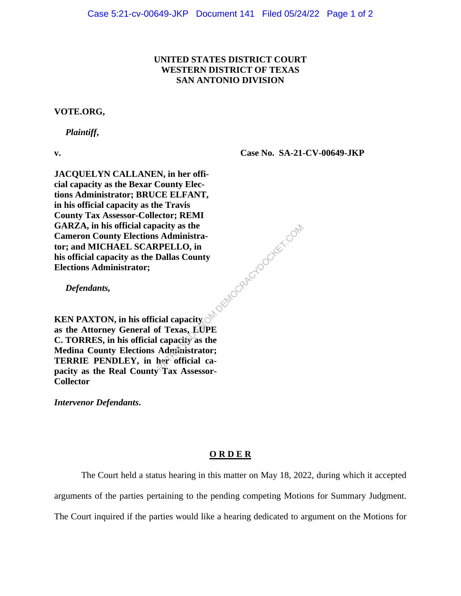## **UNITED STATES DISTRICT COURT WESTERN DISTRICT OF TEXAS SAN ANTONIO DIVISION**

## **VOTE.ORG,**

 *Plaintiff***,** 

**v.**

**Case No. SA-21-CV-00649-JKP**

**JACQUELYN CALLANEN, in her official capacity as the Bexar County Elections Administrator; BRUCE ELFANT, in his official capacity as the Travis County Tax Assessor-Collector; REMI GARZA, in his official capacity as the Cameron County Elections Administrator; and MICHAEL SCARPELLO, in his official capacity as the Dallas County Elections Administrator;**

 *Defendants,*

**KEN PAXTON, in his official capacity as the Attorney General of Texas, LUPE C. TORRES, in his official capacity as the Medina County Elections Administrator; TERRIE PENDLEY, in her official capacity as the Real County Tax Assessor-Collector** acity as the<br>
S Administra-<br>
RELLO, in<br>
Dallas County<br>
cial capacity<br>
of Texas, EUPE<br>
capacity as the<br>
Administrator;<br>
her official ca-<br>
Tex Assessor

*Intervenor Defendants***.**

## **O R D E R**

The Court held a status hearing in this matter on May 18, 2022, during which it accepted arguments of the parties pertaining to the pending competing Motions for Summary Judgment. The Court inquired if the parties would like a hearing dedicated to argument on the Motions for